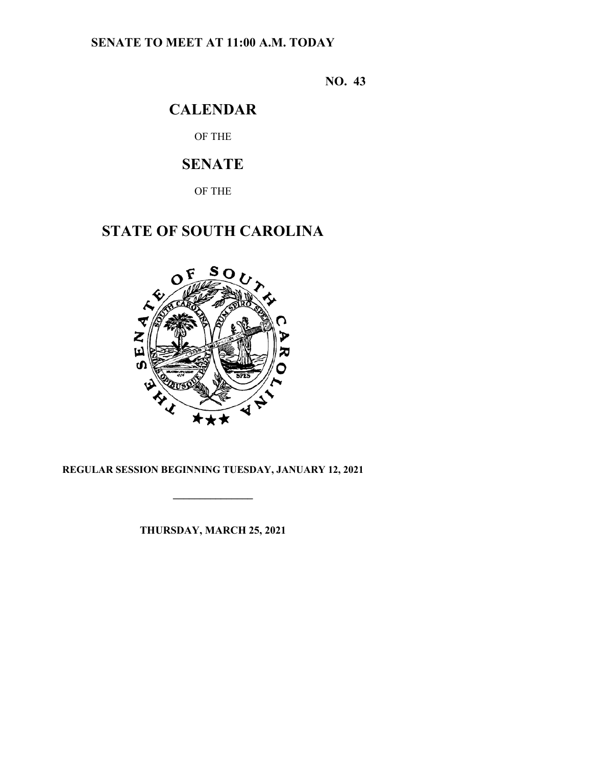# **SENATE TO MEET AT 11:00 A.M. TODAY**

**NO. 43**

# **CALENDAR**

OF THE

# **SENATE**

OF THE

# **STATE OF SOUTH CAROLINA**



# **REGULAR SESSION BEGINNING TUESDAY, JANUARY 12, 2021**

**\_\_\_\_\_\_\_\_\_\_\_\_\_\_\_**

**THURSDAY, MARCH 25, 2021**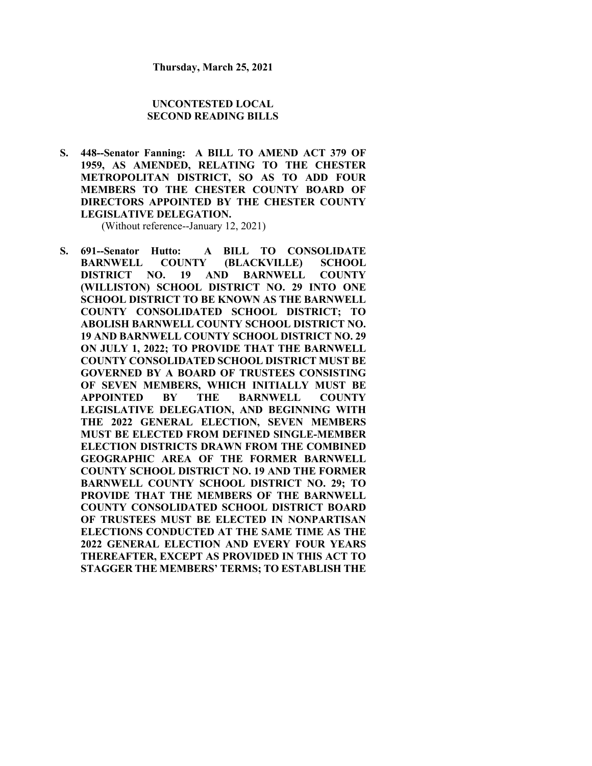#### **UNCONTESTED LOCAL SECOND READING BILLS**

**S. 448--Senator Fanning: A BILL TO AMEND ACT 379 OF 1959, AS AMENDED, RELATING TO THE CHESTER METROPOLITAN DISTRICT, SO AS TO ADD FOUR MEMBERS TO THE CHESTER COUNTY BOARD OF DIRECTORS APPOINTED BY THE CHESTER COUNTY LEGISLATIVE DELEGATION.**

(Without reference--January 12, 2021)

**S. 691--Senator Hutto: A BILL TO CONSOLIDATE BARNWELL COUNTY (BLACKVILLE) SCHOOL DISTRICT NO. 19 AND BARNWELL COUNTY (WILLISTON) SCHOOL DISTRICT NO. 29 INTO ONE SCHOOL DISTRICT TO BE KNOWN AS THE BARNWELL COUNTY CONSOLIDATED SCHOOL DISTRICT; TO ABOLISH BARNWELL COUNTY SCHOOL DISTRICT NO. 19 AND BARNWELL COUNTY SCHOOL DISTRICT NO. 29 ON JULY 1, 2022; TO PROVIDE THAT THE BARNWELL COUNTY CONSOLIDATED SCHOOL DISTRICT MUST BE GOVERNED BY A BOARD OF TRUSTEES CONSISTING OF SEVEN MEMBERS, WHICH INITIALLY MUST BE APPOINTED BY THE BARNWELL COUNTY LEGISLATIVE DELEGATION, AND BEGINNING WITH THE 2022 GENERAL ELECTION, SEVEN MEMBERS MUST BE ELECTED FROM DEFINED SINGLE-MEMBER ELECTION DISTRICTS DRAWN FROM THE COMBINED GEOGRAPHIC AREA OF THE FORMER BARNWELL COUNTY SCHOOL DISTRICT NO. 19 AND THE FORMER BARNWELL COUNTY SCHOOL DISTRICT NO. 29; TO PROVIDE THAT THE MEMBERS OF THE BARNWELL COUNTY CONSOLIDATED SCHOOL DISTRICT BOARD OF TRUSTEES MUST BE ELECTED IN NONPARTISAN ELECTIONS CONDUCTED AT THE SAME TIME AS THE 2022 GENERAL ELECTION AND EVERY FOUR YEARS THEREAFTER, EXCEPT AS PROVIDED IN THIS ACT TO STAGGER THE MEMBERS' TERMS; TO ESTABLISH THE**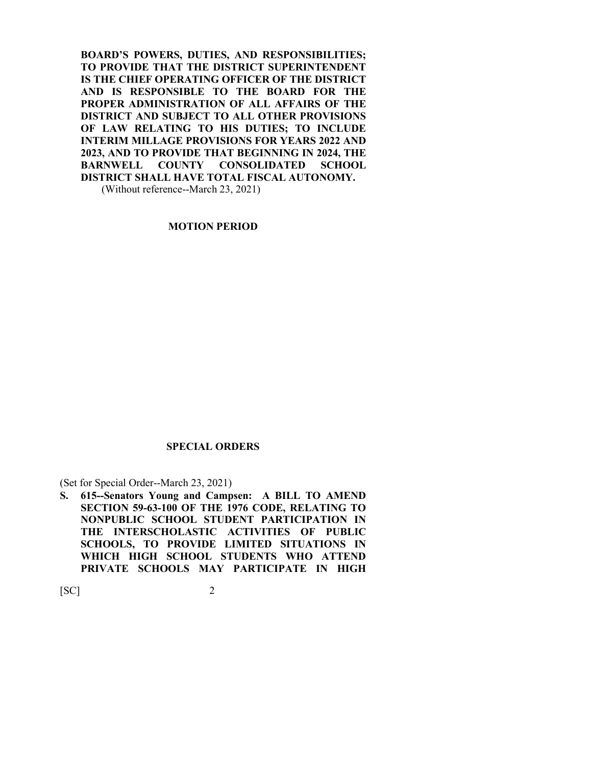**BOARD'S POWERS, DUTIES, AND RESPONSIBILITIES; TO PROVIDE THAT THE DISTRICT SUPERINTENDENT IS THE CHIEF OPERATING OFFICER OF THE DISTRICT AND IS RESPONSIBLE TO THE BOARD FOR THE PROPER ADMINISTRATION OF ALL AFFAIRS OF THE DISTRICT AND SUBJECT TO ALL OTHER PROVISIONS OF LAW RELATING TO HIS DUTIES; TO INCLUDE INTERIM MILLAGE PROVISIONS FOR YEARS 2022 AND 2023, AND TO PROVIDE THAT BEGINNING IN 2024, THE BARNWELL COUNTY CONSOLIDATED SCHOOL DISTRICT SHALL HAVE TOTAL FISCAL AUTONOMY.**

(Without reference--March 23, 2021)

### **MOTION PERIOD**

#### **SPECIAL ORDERS**

(Set for Special Order--March 23, 2021)

**S. 615--Senators Young and Campsen: A BILL TO AMEND SECTION 59-63-100 OF THE 1976 CODE, RELATING TO NONPUBLIC SCHOOL STUDENT PARTICIPATION IN THE INTERSCHOLASTIC ACTIVITIES OF PUBLIC SCHOOLS, TO PROVIDE LIMITED SITUATIONS IN WHICH HIGH SCHOOL STUDENTS WHO ATTEND PRIVATE SCHOOLS MAY PARTICIPATE IN HIGH**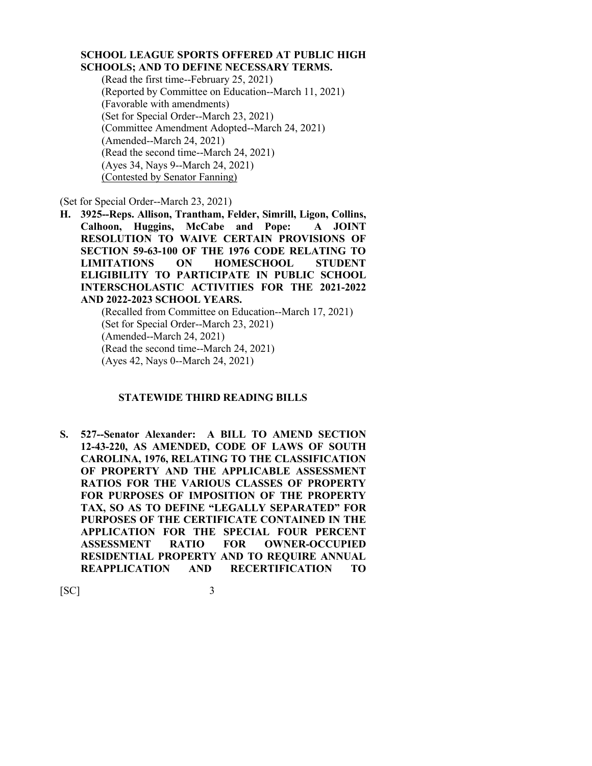### **SCHOOL LEAGUE SPORTS OFFERED AT PUBLIC HIGH SCHOOLS; AND TO DEFINE NECESSARY TERMS.**

(Read the first time--February 25, 2021) (Reported by Committee on Education--March 11, 2021) (Favorable with amendments) (Set for Special Order--March 23, 2021) (Committee Amendment Adopted--March 24, 2021) (Amended--March 24, 2021) (Read the second time--March 24, 2021) (Ayes 34, Nays 9--March 24, 2021) (Contested by Senator Fanning)

(Set for Special Order--March 23, 2021)

**H. 3925--Reps. Allison, Trantham, Felder, Simrill, Ligon, Collins, Calhoon, Huggins, McCabe and Pope: A JOINT RESOLUTION TO WAIVE CERTAIN PROVISIONS OF SECTION 59-63-100 OF THE 1976 CODE RELATING TO LIMITATIONS ON HOMESCHOOL STUDENT ELIGIBILITY TO PARTICIPATE IN PUBLIC SCHOOL INTERSCHOLASTIC ACTIVITIES FOR THE 2021-2022 AND 2022-2023 SCHOOL YEARS.**

(Recalled from Committee on Education--March 17, 2021) (Set for Special Order--March 23, 2021) (Amended--March 24, 2021) (Read the second time--March 24, 2021) (Ayes 42, Nays 0--March 24, 2021)

### **STATEWIDE THIRD READING BILLS**

**S. 527--Senator Alexander: A BILL TO AMEND SECTION 12-43-220, AS AMENDED, CODE OF LAWS OF SOUTH CAROLINA, 1976, RELATING TO THE CLASSIFICATION OF PROPERTY AND THE APPLICABLE ASSESSMENT RATIOS FOR THE VARIOUS CLASSES OF PROPERTY FOR PURPOSES OF IMPOSITION OF THE PROPERTY TAX, SO AS TO DEFINE "LEGALLY SEPARATED" FOR PURPOSES OF THE CERTIFICATE CONTAINED IN THE APPLICATION FOR THE SPECIAL FOUR PERCENT ASSESSMENT RATIO FOR OWNER-OCCUPIED RESIDENTIAL PROPERTY AND TO REQUIRE ANNUAL REAPPLICATION AND RECERTIFICATION TO**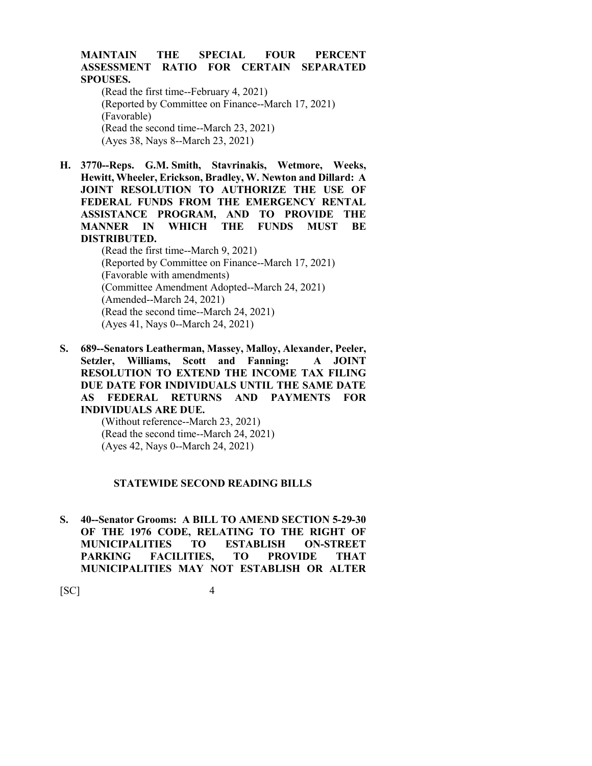### **MAINTAIN THE SPECIAL FOUR PERCENT ASSESSMENT RATIO FOR CERTAIN SEPARATED SPOUSES.**

(Read the first time--February 4, 2021) (Reported by Committee on Finance--March 17, 2021) (Favorable) (Read the second time--March 23, 2021) (Ayes 38, Nays 8--March 23, 2021)

**H. 3770--Reps. G.M. Smith, Stavrinakis, Wetmore, Weeks, Hewitt, Wheeler, Erickson, Bradley, W. Newton and Dillard: A JOINT RESOLUTION TO AUTHORIZE THE USE OF FEDERAL FUNDS FROM THE EMERGENCY RENTAL ASSISTANCE PROGRAM, AND TO PROVIDE THE MANNER IN WHICH THE FUNDS MUST BE DISTRIBUTED.**

> (Read the first time--March 9, 2021) (Reported by Committee on Finance--March 17, 2021) (Favorable with amendments) (Committee Amendment Adopted--March 24, 2021) (Amended--March 24, 2021) (Read the second time--March 24, 2021) (Ayes 41, Nays 0--March 24, 2021)

**S. 689--Senators Leatherman, Massey, Malloy, Alexander, Peeler, Setzler, Williams, Scott and Fanning: A JOINT RESOLUTION TO EXTEND THE INCOME TAX FILING DUE DATE FOR INDIVIDUALS UNTIL THE SAME DATE AS FEDERAL RETURNS AND PAYMENTS FOR INDIVIDUALS ARE DUE.**

> (Without reference--March 23, 2021) (Read the second time--March 24, 2021) (Ayes 42, Nays 0--March 24, 2021)

#### **STATEWIDE SECOND READING BILLS**

**S. 40--Senator Grooms: A BILL TO AMEND SECTION 5-29-30 OF THE 1976 CODE, RELATING TO THE RIGHT OF MUNICIPALITIES TO ESTABLISH ON-STREET PARKING FACILITIES, TO PROVIDE THAT MUNICIPALITIES MAY NOT ESTABLISH OR ALTER**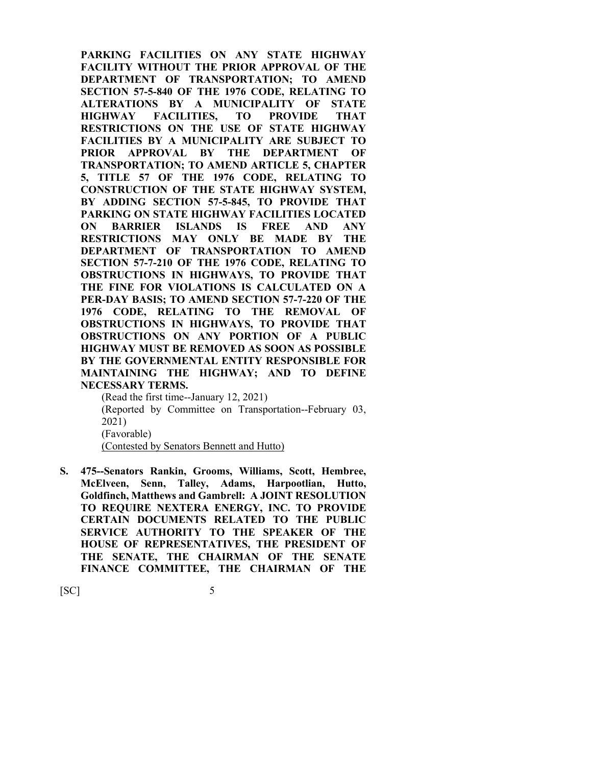**PARKING FACILITIES ON ANY STATE HIGHWAY FACILITY WITHOUT THE PRIOR APPROVAL OF THE DEPARTMENT OF TRANSPORTATION; TO AMEND SECTION 57-5-840 OF THE 1976 CODE, RELATING TO ALTERATIONS BY A MUNICIPALITY OF STATE HIGHWAY FACILITIES, TO PROVIDE THAT RESTRICTIONS ON THE USE OF STATE HIGHWAY FACILITIES BY A MUNICIPALITY ARE SUBJECT TO PRIOR APPROVAL BY THE DEPARTMENT OF TRANSPORTATION; TO AMEND ARTICLE 5, CHAPTER 5, TITLE 57 OF THE 1976 CODE, RELATING TO CONSTRUCTION OF THE STATE HIGHWAY SYSTEM, BY ADDING SECTION 57-5-845, TO PROVIDE THAT PARKING ON STATE HIGHWAY FACILITIES LOCATED ON BARRIER ISLANDS IS FREE AND ANY RESTRICTIONS MAY ONLY BE MADE BY THE DEPARTMENT OF TRANSPORTATION TO AMEND SECTION 57-7-210 OF THE 1976 CODE, RELATING TO OBSTRUCTIONS IN HIGHWAYS, TO PROVIDE THAT THE FINE FOR VIOLATIONS IS CALCULATED ON A PER-DAY BASIS; TO AMEND SECTION 57-7-220 OF THE 1976 CODE, RELATING TO THE REMOVAL OF OBSTRUCTIONS IN HIGHWAYS, TO PROVIDE THAT OBSTRUCTIONS ON ANY PORTION OF A PUBLIC HIGHWAY MUST BE REMOVED AS SOON AS POSSIBLE BY THE GOVERNMENTAL ENTITY RESPONSIBLE FOR MAINTAINING THE HIGHWAY; AND TO DEFINE NECESSARY TERMS.**

(Read the first time--January 12, 2021) (Reported by Committee on Transportation--February 03, 2021) (Favorable) (Contested by Senators Bennett and Hutto)

**S. 475--Senators Rankin, Grooms, Williams, Scott, Hembree, McElveen, Senn, Talley, Adams, Harpootlian, Hutto, Goldfinch, Matthews and Gambrell: A JOINT RESOLUTION TO REQUIRE NEXTERA ENERGY, INC. TO PROVIDE CERTAIN DOCUMENTS RELATED TO THE PUBLIC SERVICE AUTHORITY TO THE SPEAKER OF THE HOUSE OF REPRESENTATIVES, THE PRESIDENT OF THE SENATE, THE CHAIRMAN OF THE SENATE FINANCE COMMITTEE, THE CHAIRMAN OF THE**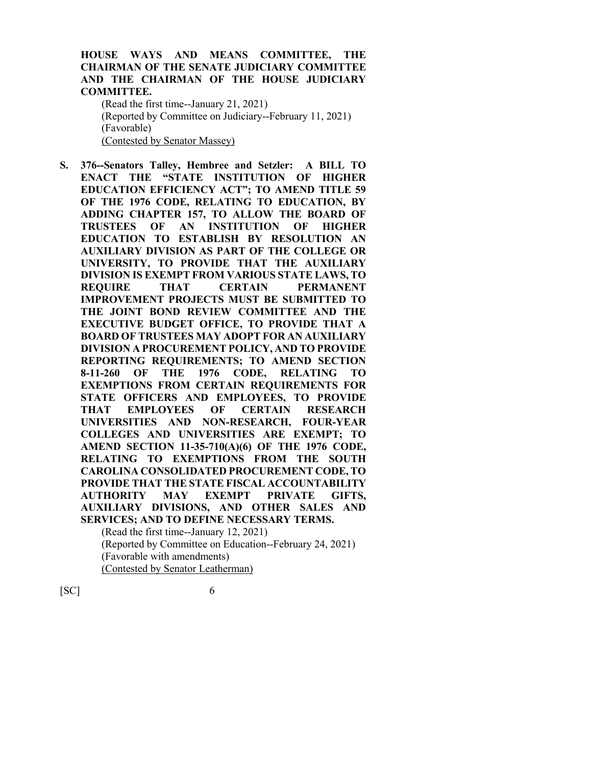### **HOUSE WAYS AND MEANS COMMITTEE, THE CHAIRMAN OF THE SENATE JUDICIARY COMMITTEE AND THE CHAIRMAN OF THE HOUSE JUDICIARY COMMITTEE.**

(Read the first time--January 21, 2021) (Reported by Committee on Judiciary--February 11, 2021) (Favorable) (Contested by Senator Massey)

**S. 376--Senators Talley, Hembree and Setzler: A BILL TO ENACT THE "STATE INSTITUTION OF HIGHER EDUCATION EFFICIENCY ACT"; TO AMEND TITLE 59 OF THE 1976 CODE, RELATING TO EDUCATION, BY ADDING CHAPTER 157, TO ALLOW THE BOARD OF TRUSTEES OF AN INSTITUTION OF HIGHER EDUCATION TO ESTABLISH BY RESOLUTION AN AUXILIARY DIVISION AS PART OF THE COLLEGE OR UNIVERSITY, TO PROVIDE THAT THE AUXILIARY DIVISION IS EXEMPT FROM VARIOUS STATE LAWS, TO REQUIRE THAT CERTAIN PERMANENT IMPROVEMENT PROJECTS MUST BE SUBMITTED TO THE JOINT BOND REVIEW COMMITTEE AND THE EXECUTIVE BUDGET OFFICE, TO PROVIDE THAT A BOARD OF TRUSTEES MAY ADOPT FOR AN AUXILIARY DIVISION A PROCUREMENT POLICY, AND TO PROVIDE REPORTING REQUIREMENTS; TO AMEND SECTION 8-11-260 OF THE 1976 CODE, RELATING TO EXEMPTIONS FROM CERTAIN REQUIREMENTS FOR STATE OFFICERS AND EMPLOYEES, TO PROVIDE THAT EMPLOYEES OF CERTAIN RESEARCH UNIVERSITIES AND NON-RESEARCH, FOUR-YEAR COLLEGES AND UNIVERSITIES ARE EXEMPT; TO AMEND SECTION 11-35-710(A)(6) OF THE 1976 CODE, RELATING TO EXEMPTIONS FROM THE SOUTH CAROLINA CONSOLIDATED PROCUREMENT CODE, TO PROVIDE THAT THE STATE FISCAL ACCOUNTABILITY AUTHORITY MAY EXEMPT PRIVATE GIFTS, AUXILIARY DIVISIONS, AND OTHER SALES AND SERVICES; AND TO DEFINE NECESSARY TERMS.** (Read the first time--January 12, 2021)

(Reported by Committee on Education--February 24, 2021) (Favorable with amendments) (Contested by Senator Leatherman)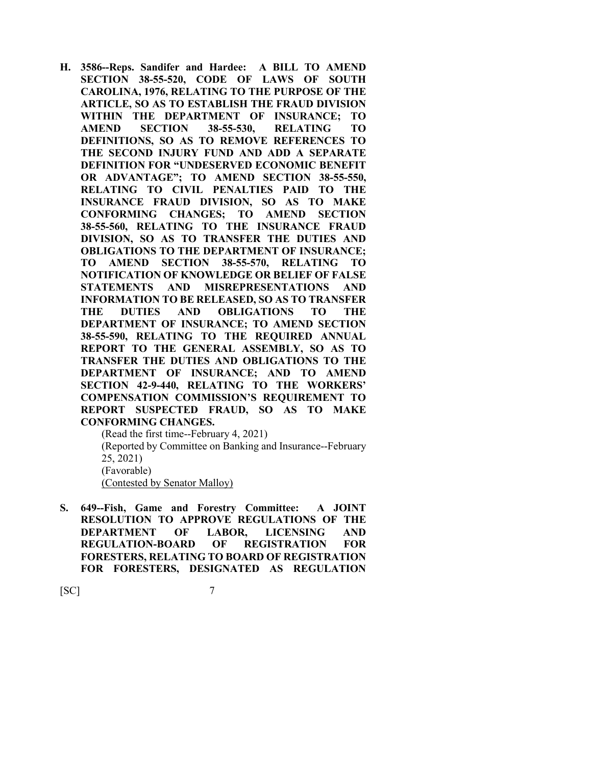**H. 3586--Reps. Sandifer and Hardee: A BILL TO AMEND SECTION 38-55-520, CODE OF LAWS OF SOUTH CAROLINA, 1976, RELATING TO THE PURPOSE OF THE ARTICLE, SO AS TO ESTABLISH THE FRAUD DIVISION WITHIN THE DEPARTMENT OF INSURANCE; TO AMEND SECTION 38-55-530, RELATING TO DEFINITIONS, SO AS TO REMOVE REFERENCES TO THE SECOND INJURY FUND AND ADD A SEPARATE DEFINITION FOR "UNDESERVED ECONOMIC BENEFIT OR ADVANTAGE"; TO AMEND SECTION 38-55-550, RELATING TO CIVIL PENALTIES PAID TO THE INSURANCE FRAUD DIVISION, SO AS TO MAKE CONFORMING CHANGES; TO AMEND SECTION 38-55-560, RELATING TO THE INSURANCE FRAUD DIVISION, SO AS TO TRANSFER THE DUTIES AND OBLIGATIONS TO THE DEPARTMENT OF INSURANCE; TO AMEND SECTION 38-55-570, RELATING TO NOTIFICATION OF KNOWLEDGE OR BELIEF OF FALSE STATEMENTS AND MISREPRESENTATIONS AND INFORMATION TO BE RELEASED, SO AS TO TRANSFER THE DUTIES AND OBLIGATIONS TO THE DEPARTMENT OF INSURANCE; TO AMEND SECTION 38-55-590, RELATING TO THE REQUIRED ANNUAL REPORT TO THE GENERAL ASSEMBLY, SO AS TO TRANSFER THE DUTIES AND OBLIGATIONS TO THE DEPARTMENT OF INSURANCE; AND TO AMEND SECTION 42-9-440, RELATING TO THE WORKERS' COMPENSATION COMMISSION'S REQUIREMENT TO REPORT SUSPECTED FRAUD, SO AS TO MAKE CONFORMING CHANGES.**

(Read the first time--February 4, 2021)

(Reported by Committee on Banking and Insurance--February 25, 2021) (Favorable)

(Contested by Senator Malloy)

**S. 649--Fish, Game and Forestry Committee: A JOINT RESOLUTION TO APPROVE REGULATIONS OF THE DEPARTMENT OF LABOR, LICENSING AND REGULATION-BOARD OF REGISTRATION FOR FORESTERS, RELATING TO BOARD OF REGISTRATION FOR FORESTERS, DESIGNATED AS REGULATION**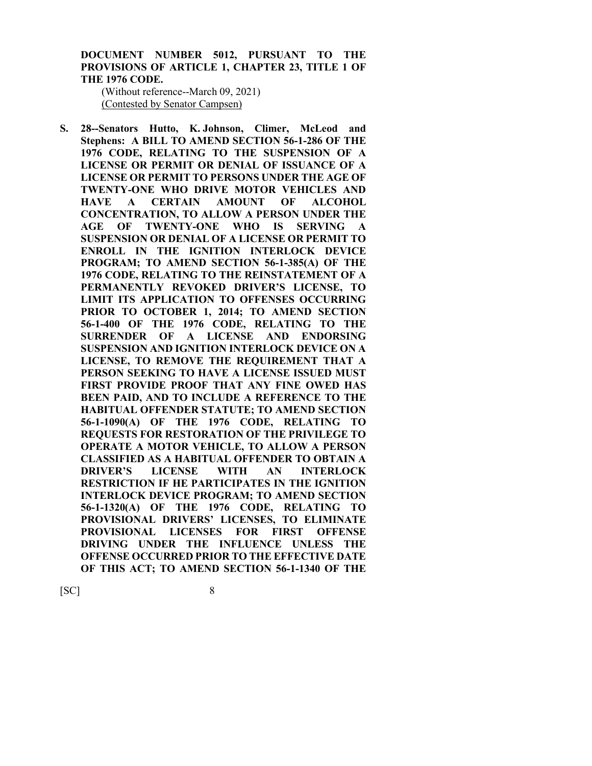**DOCUMENT NUMBER 5012, PURSUANT TO THE PROVISIONS OF ARTICLE 1, CHAPTER 23, TITLE 1 OF THE 1976 CODE.**

(Without reference--March 09, 2021) (Contested by Senator Campsen)

**S. 28--Senators Hutto, K. Johnson, Climer, McLeod and Stephens: A BILL TO AMEND SECTION 56-1-286 OF THE 1976 CODE, RELATING TO THE SUSPENSION OF A LICENSE OR PERMIT OR DENIAL OF ISSUANCE OF A LICENSE OR PERMIT TO PERSONS UNDER THE AGE OF TWENTY-ONE WHO DRIVE MOTOR VEHICLES AND HAVE A CERTAIN AMOUNT OF ALCOHOL CONCENTRATION, TO ALLOW A PERSON UNDER THE AGE OF TWENTY-ONE WHO IS SERVING A SUSPENSION OR DENIAL OF A LICENSE OR PERMIT TO ENROLL IN THE IGNITION INTERLOCK DEVICE PROGRAM; TO AMEND SECTION 56-1-385(A) OF THE 1976 CODE, RELATING TO THE REINSTATEMENT OF A PERMANENTLY REVOKED DRIVER'S LICENSE, TO LIMIT ITS APPLICATION TO OFFENSES OCCURRING PRIOR TO OCTOBER 1, 2014; TO AMEND SECTION 56-1-400 OF THE 1976 CODE, RELATING TO THE SURRENDER OF A LICENSE AND ENDORSING SUSPENSION AND IGNITION INTERLOCK DEVICE ON A LICENSE, TO REMOVE THE REQUIREMENT THAT A PERSON SEEKING TO HAVE A LICENSE ISSUED MUST FIRST PROVIDE PROOF THAT ANY FINE OWED HAS BEEN PAID, AND TO INCLUDE A REFERENCE TO THE HABITUAL OFFENDER STATUTE; TO AMEND SECTION 56-1-1090(A) OF THE 1976 CODE, RELATING TO REQUESTS FOR RESTORATION OF THE PRIVILEGE TO OPERATE A MOTOR VEHICLE, TO ALLOW A PERSON CLASSIFIED AS A HABITUAL OFFENDER TO OBTAIN A DRIVER'S LICENSE WITH AN INTERLOCK RESTRICTION IF HE PARTICIPATES IN THE IGNITION INTERLOCK DEVICE PROGRAM; TO AMEND SECTION 56-1-1320(A) OF THE 1976 CODE, RELATING TO PROVISIONAL DRIVERS' LICENSES, TO ELIMINATE PROVISIONAL LICENSES FOR FIRST OFFENSE DRIVING UNDER THE INFLUENCE UNLESS THE OFFENSE OCCURRED PRIOR TO THE EFFECTIVE DATE OF THIS ACT; TO AMEND SECTION 56-1-1340 OF THE**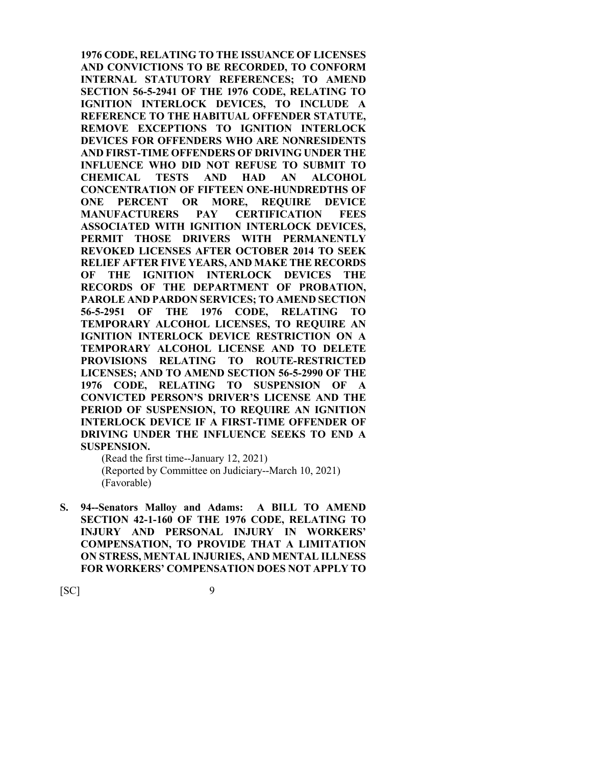**1976 CODE, RELATING TO THE ISSUANCE OF LICENSES AND CONVICTIONS TO BE RECORDED, TO CONFORM INTERNAL STATUTORY REFERENCES; TO AMEND SECTION 56-5-2941 OF THE 1976 CODE, RELATING TO IGNITION INTERLOCK DEVICES, TO INCLUDE A REFERENCE TO THE HABITUAL OFFENDER STATUTE, REMOVE EXCEPTIONS TO IGNITION INTERLOCK DEVICES FOR OFFENDERS WHO ARE NONRESIDENTS AND FIRST-TIME OFFENDERS OF DRIVING UNDER THE INFLUENCE WHO DID NOT REFUSE TO SUBMIT TO CHEMICAL TESTS AND HAD AN ALCOHOL CONCENTRATION OF FIFTEEN ONE-HUNDREDTHS OF ONE PERCENT OR MORE, REQUIRE DEVICE MANUFACTURERS PAY CERTIFICATION FEES ASSOCIATED WITH IGNITION INTERLOCK DEVICES, PERMIT THOSE DRIVERS WITH PERMANENTLY REVOKED LICENSES AFTER OCTOBER 2014 TO SEEK RELIEF AFTER FIVE YEARS, AND MAKE THE RECORDS OF THE IGNITION INTERLOCK DEVICES THE RECORDS OF THE DEPARTMENT OF PROBATION, PAROLE AND PARDON SERVICES; TO AMEND SECTION 56-5-2951 OF THE 1976 CODE, RELATING TO TEMPORARY ALCOHOL LICENSES, TO REQUIRE AN IGNITION INTERLOCK DEVICE RESTRICTION ON A TEMPORARY ALCOHOL LICENSE AND TO DELETE PROVISIONS RELATING TO ROUTE-RESTRICTED LICENSES; AND TO AMEND SECTION 56-5-2990 OF THE 1976 CODE, RELATING TO SUSPENSION OF A CONVICTED PERSON'S DRIVER'S LICENSE AND THE PERIOD OF SUSPENSION, TO REQUIRE AN IGNITION INTERLOCK DEVICE IF A FIRST-TIME OFFENDER OF DRIVING UNDER THE INFLUENCE SEEKS TO END A SUSPENSION.**

(Read the first time--January 12, 2021) (Reported by Committee on Judiciary--March 10, 2021) (Favorable)

**S. 94--Senators Malloy and Adams: A BILL TO AMEND SECTION 42-1-160 OF THE 1976 CODE, RELATING TO INJURY AND PERSONAL INJURY IN WORKERS' COMPENSATION, TO PROVIDE THAT A LIMITATION ON STRESS, MENTAL INJURIES, AND MENTAL ILLNESS FOR WORKERS' COMPENSATION DOES NOT APPLY TO**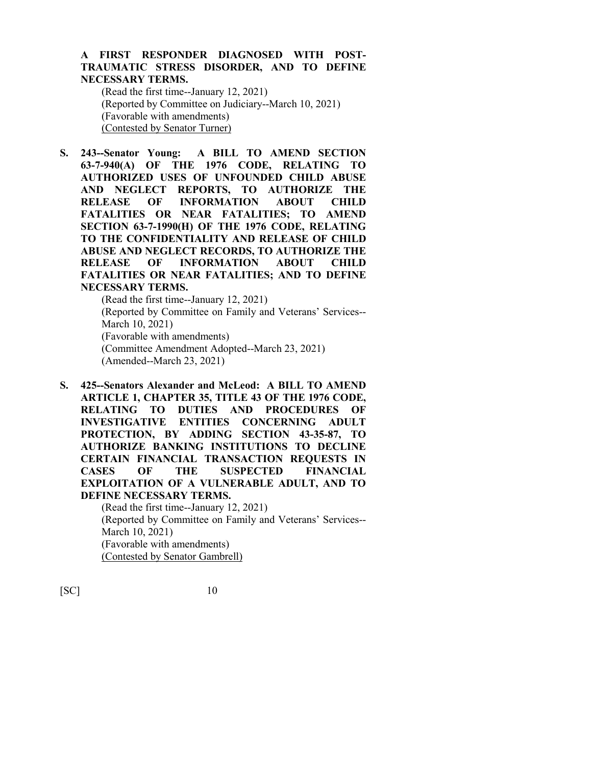## **A FIRST RESPONDER DIAGNOSED WITH POST-TRAUMATIC STRESS DISORDER, AND TO DEFINE NECESSARY TERMS.**

(Read the first time--January 12, 2021) (Reported by Committee on Judiciary--March 10, 2021) (Favorable with amendments) (Contested by Senator Turner)

**S. 243--Senator Young: A BILL TO AMEND SECTION 63-7-940(A) OF THE 1976 CODE, RELATING TO AUTHORIZED USES OF UNFOUNDED CHILD ABUSE AND NEGLECT REPORTS, TO AUTHORIZE THE RELEASE OF INFORMATION ABOUT CHILD FATALITIES OR NEAR FATALITIES; TO AMEND SECTION 63-7-1990(H) OF THE 1976 CODE, RELATING TO THE CONFIDENTIALITY AND RELEASE OF CHILD ABUSE AND NEGLECT RECORDS, TO AUTHORIZE THE RELEASE OF INFORMATION ABOUT CHILD FATALITIES OR NEAR FATALITIES; AND TO DEFINE NECESSARY TERMS.**

(Read the first time--January 12, 2021) (Reported by Committee on Family and Veterans' Services-- March 10, 2021) (Favorable with amendments) (Committee Amendment Adopted--March 23, 2021) (Amended--March 23, 2021)

**S. 425--Senators Alexander and McLeod: A BILL TO AMEND ARTICLE 1, CHAPTER 35, TITLE 43 OF THE 1976 CODE, RELATING TO DUTIES AND PROCEDURES OF INVESTIGATIVE ENTITIES CONCERNING ADULT PROTECTION, BY ADDING SECTION 43-35-87, TO AUTHORIZE BANKING INSTITUTIONS TO DECLINE CERTAIN FINANCIAL TRANSACTION REQUESTS IN CASES OF THE SUSPECTED FINANCIAL EXPLOITATION OF A VULNERABLE ADULT, AND TO DEFINE NECESSARY TERMS.**

> (Read the first time--January 12, 2021) (Reported by Committee on Family and Veterans' Services-- March 10, 2021) (Favorable with amendments) (Contested by Senator Gambrell)

[SC] 10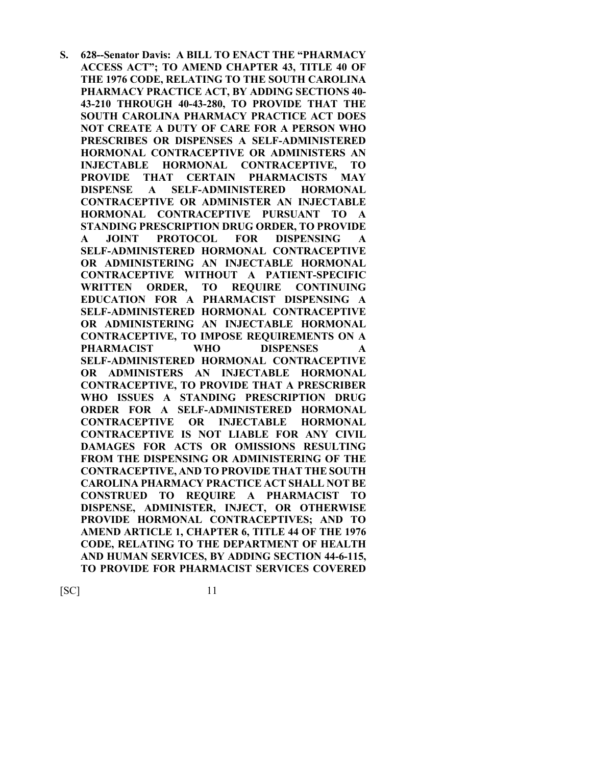**S. 628--Senator Davis: A BILL TO ENACT THE "PHARMACY ACCESS ACT"; TO AMEND CHAPTER 43, TITLE 40 OF THE 1976 CODE, RELATING TO THE SOUTH CAROLINA PHARMACY PRACTICE ACT, BY ADDING SECTIONS 40- 43-210 THROUGH 40-43-280, TO PROVIDE THAT THE SOUTH CAROLINA PHARMACY PRACTICE ACT DOES NOT CREATE A DUTY OF CARE FOR A PERSON WHO PRESCRIBES OR DISPENSES A SELF-ADMINISTERED HORMONAL CONTRACEPTIVE OR ADMINISTERS AN INJECTABLE HORMONAL CONTRACEPTIVE, TO PROVIDE THAT CERTAIN PHARMACISTS MAY DISPENSE A SELF-ADMINISTERED HORMONAL CONTRACEPTIVE OR ADMINISTER AN INJECTABLE HORMONAL CONTRACEPTIVE PURSUANT TO A STANDING PRESCRIPTION DRUG ORDER, TO PROVIDE A JOINT PROTOCOL FOR DISPENSING A SELF-ADMINISTERED HORMONAL CONTRACEPTIVE OR ADMINISTERING AN INJECTABLE HORMONAL CONTRACEPTIVE WITHOUT A PATIENT-SPECIFIC WRITTEN ORDER, TO REQUIRE CONTINUING EDUCATION FOR A PHARMACIST DISPENSING A SELF-ADMINISTERED HORMONAL CONTRACEPTIVE OR ADMINISTERING AN INJECTABLE HORMONAL CONTRACEPTIVE, TO IMPOSE REQUIREMENTS ON A PHARMACIST WHO DISPENSES A SELF-ADMINISTERED HORMONAL CONTRACEPTIVE OR ADMINISTERS AN INJECTABLE HORMONAL CONTRACEPTIVE, TO PROVIDE THAT A PRESCRIBER WHO ISSUES A STANDING PRESCRIPTION DRUG ORDER FOR A SELF-ADMINISTERED HORMONAL CONTRACEPTIVE OR INJECTABLE HORMONAL CONTRACEPTIVE IS NOT LIABLE FOR ANY CIVIL DAMAGES FOR ACTS OR OMISSIONS RESULTING FROM THE DISPENSING OR ADMINISTERING OF THE CONTRACEPTIVE, AND TO PROVIDE THAT THE SOUTH CAROLINA PHARMACY PRACTICE ACT SHALL NOT BE CONSTRUED TO REQUIRE A PHARMACIST TO DISPENSE, ADMINISTER, INJECT, OR OTHERWISE PROVIDE HORMONAL CONTRACEPTIVES; AND TO AMEND ARTICLE 1, CHAPTER 6, TITLE 44 OF THE 1976 CODE, RELATING TO THE DEPARTMENT OF HEALTH AND HUMAN SERVICES, BY ADDING SECTION 44-6-115, TO PROVIDE FOR PHARMACIST SERVICES COVERED**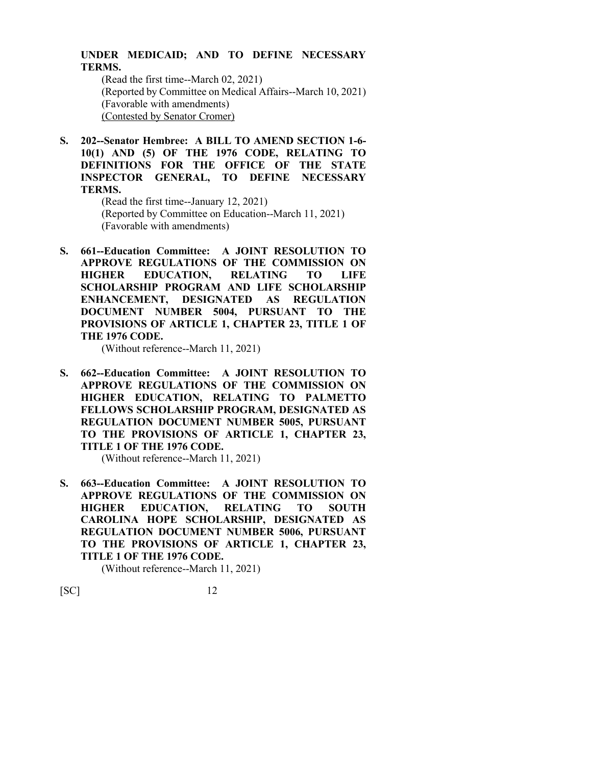### **UNDER MEDICAID; AND TO DEFINE NECESSARY TERMS.**

(Read the first time--March 02, 2021) (Reported by Committee on Medical Affairs--March 10, 2021) (Favorable with amendments) (Contested by Senator Cromer)

**S. 202--Senator Hembree: A BILL TO AMEND SECTION 1-6- 10(1) AND (5) OF THE 1976 CODE, RELATING TO DEFINITIONS FOR THE OFFICE OF THE STATE INSPECTOR GENERAL, TO DEFINE NECESSARY TERMS.**

> (Read the first time--January 12, 2021) (Reported by Committee on Education--March 11, 2021) (Favorable with amendments)

**S. 661--Education Committee: A JOINT RESOLUTION TO APPROVE REGULATIONS OF THE COMMISSION ON HIGHER EDUCATION, RELATING TO LIFE SCHOLARSHIP PROGRAM AND LIFE SCHOLARSHIP ENHANCEMENT, DESIGNATED AS REGULATION DOCUMENT NUMBER 5004, PURSUANT TO THE PROVISIONS OF ARTICLE 1, CHAPTER 23, TITLE 1 OF THE 1976 CODE.**

(Without reference--March 11, 2021)

**S. 662--Education Committee: A JOINT RESOLUTION TO APPROVE REGULATIONS OF THE COMMISSION ON HIGHER EDUCATION, RELATING TO PALMETTO FELLOWS SCHOLARSHIP PROGRAM, DESIGNATED AS REGULATION DOCUMENT NUMBER 5005, PURSUANT TO THE PROVISIONS OF ARTICLE 1, CHAPTER 23, TITLE 1 OF THE 1976 CODE.**

(Without reference--March 11, 2021)

**S. 663--Education Committee: A JOINT RESOLUTION TO APPROVE REGULATIONS OF THE COMMISSION ON HIGHER EDUCATION, RELATING TO SOUTH CAROLINA HOPE SCHOLARSHIP, DESIGNATED AS REGULATION DOCUMENT NUMBER 5006, PURSUANT TO THE PROVISIONS OF ARTICLE 1, CHAPTER 23, TITLE 1 OF THE 1976 CODE.**

(Without reference--March 11, 2021)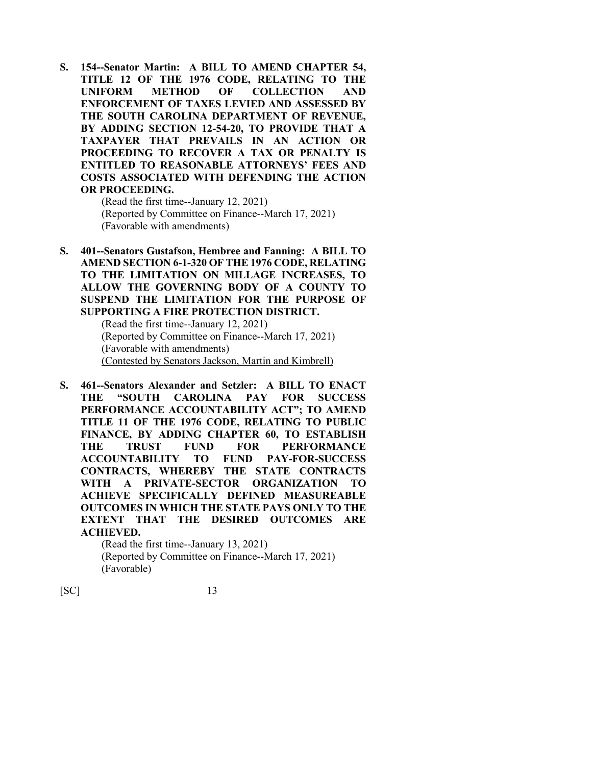**S. 154--Senator Martin: A BILL TO AMEND CHAPTER 54, TITLE 12 OF THE 1976 CODE, RELATING TO THE UNIFORM METHOD OF COLLECTION AND ENFORCEMENT OF TAXES LEVIED AND ASSESSED BY THE SOUTH CAROLINA DEPARTMENT OF REVENUE, BY ADDING SECTION 12-54-20, TO PROVIDE THAT A TAXPAYER THAT PREVAILS IN AN ACTION OR PROCEEDING TO RECOVER A TAX OR PENALTY IS ENTITLED TO REASONABLE ATTORNEYS' FEES AND COSTS ASSOCIATED WITH DEFENDING THE ACTION OR PROCEEDING.**

> (Read the first time--January 12, 2021) (Reported by Committee on Finance--March 17, 2021) (Favorable with amendments)

**S. 401--Senators Gustafson, Hembree and Fanning: A BILL TO AMEND SECTION 6-1-320 OF THE 1976 CODE, RELATING TO THE LIMITATION ON MILLAGE INCREASES, TO ALLOW THE GOVERNING BODY OF A COUNTY TO SUSPEND THE LIMITATION FOR THE PURPOSE OF SUPPORTING A FIRE PROTECTION DISTRICT.**

> (Read the first time--January 12, 2021) (Reported by Committee on Finance--March 17, 2021) (Favorable with amendments) (Contested by Senators Jackson, Martin and Kimbrell)

**S. 461--Senators Alexander and Setzler: A BILL TO ENACT THE "SOUTH CAROLINA PAY FOR SUCCESS PERFORMANCE ACCOUNTABILITY ACT"; TO AMEND TITLE 11 OF THE 1976 CODE, RELATING TO PUBLIC FINANCE, BY ADDING CHAPTER 60, TO ESTABLISH THE TRUST FUND FOR PERFORMANCE ACCOUNTABILITY TO FUND PAY-FOR-SUCCESS CONTRACTS, WHEREBY THE STATE CONTRACTS WITH A PRIVATE-SECTOR ORGANIZATION TO ACHIEVE SPECIFICALLY DEFINED MEASUREABLE OUTCOMES IN WHICH THE STATE PAYS ONLY TO THE EXTENT THAT THE DESIRED OUTCOMES ARE ACHIEVED.**

(Read the first time--January 13, 2021) (Reported by Committee on Finance--March 17, 2021) (Favorable)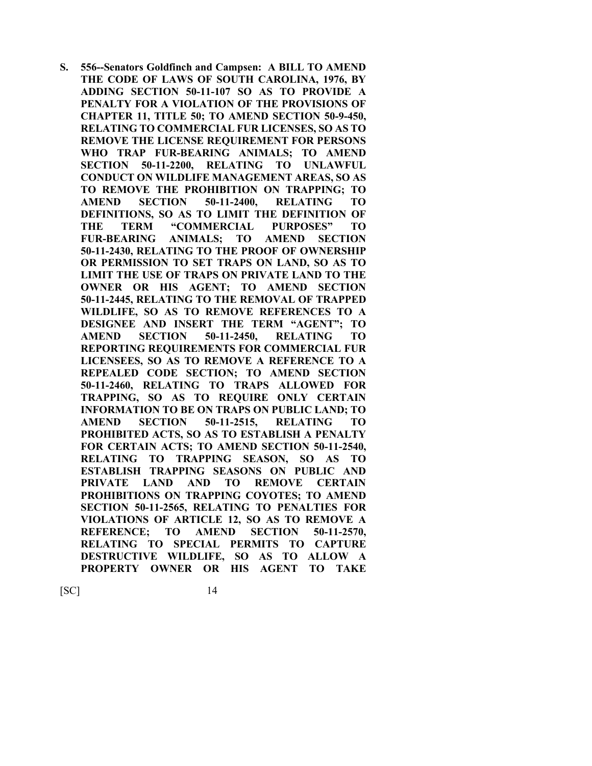**S. 556--Senators Goldfinch and Campsen: A BILL TO AMEND THE CODE OF LAWS OF SOUTH CAROLINA, 1976, BY ADDING SECTION 50-11-107 SO AS TO PROVIDE A PENALTY FOR A VIOLATION OF THE PROVISIONS OF CHAPTER 11, TITLE 50; TO AMEND SECTION 50-9-450, RELATING TO COMMERCIAL FUR LICENSES, SO AS TO REMOVE THE LICENSE REQUIREMENT FOR PERSONS WHO TRAP FUR-BEARING ANIMALS; TO AMEND SECTION 50-11-2200, RELATING TO UNLAWFUL CONDUCT ON WILDLIFE MANAGEMENT AREAS, SO AS TO REMOVE THE PROHIBITION ON TRAPPING; TO AMEND SECTION 50-11-2400, RELATING TO DEFINITIONS, SO AS TO LIMIT THE DEFINITION OF THE TERM "COMMERCIAL PURPOSES" TO FUR-BEARING ANIMALS; TO AMEND SECTION 50-11-2430, RELATING TO THE PROOF OF OWNERSHIP OR PERMISSION TO SET TRAPS ON LAND, SO AS TO LIMIT THE USE OF TRAPS ON PRIVATE LAND TO THE OWNER OR HIS AGENT; TO AMEND SECTION 50-11-2445, RELATING TO THE REMOVAL OF TRAPPED WILDLIFE, SO AS TO REMOVE REFERENCES TO A DESIGNEE AND INSERT THE TERM "AGENT"; TO AMEND SECTION 50-11-2450, RELATING TO REPORTING REQUIREMENTS FOR COMMERCIAL FUR LICENSEES, SO AS TO REMOVE A REFERENCE TO A REPEALED CODE SECTION; TO AMEND SECTION 50-11-2460, RELATING TO TRAPS ALLOWED FOR TRAPPING, SO AS TO REQUIRE ONLY CERTAIN INFORMATION TO BE ON TRAPS ON PUBLIC LAND; TO AMEND SECTION 50-11-2515, RELATING TO PROHIBITED ACTS, SO AS TO ESTABLISH A PENALTY FOR CERTAIN ACTS; TO AMEND SECTION 50-11-2540, RELATING TO TRAPPING SEASON, SO AS TO ESTABLISH TRAPPING SEASONS ON PUBLIC AND PRIVATE LAND AND TO REMOVE CERTAIN PROHIBITIONS ON TRAPPING COYOTES; TO AMEND SECTION 50-11-2565, RELATING TO PENALTIES FOR VIOLATIONS OF ARTICLE 12, SO AS TO REMOVE A REFERENCE; TO AMEND SECTION 50-11-2570, RELATING TO SPECIAL PERMITS TO CAPTURE DESTRUCTIVE WILDLIFE, SO AS TO ALLOW A PROPERTY OWNER OR HIS AGENT TO TAKE**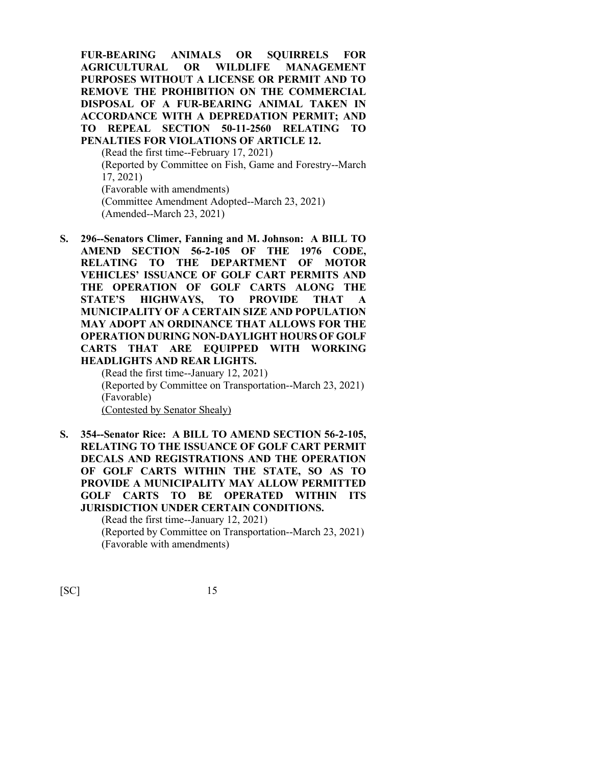**FUR-BEARING ANIMALS OR SQUIRRELS FOR AGRICULTURAL OR WILDLIFE MANAGEMENT PURPOSES WITHOUT A LICENSE OR PERMIT AND TO REMOVE THE PROHIBITION ON THE COMMERCIAL DISPOSAL OF A FUR-BEARING ANIMAL TAKEN IN ACCORDANCE WITH A DEPREDATION PERMIT; AND TO REPEAL SECTION 50-11-2560 RELATING TO PENALTIES FOR VIOLATIONS OF ARTICLE 12.** (Read the first time--February 17, 2021) (Reported by Committee on Fish, Game and Forestry--March 17, 2021) (Favorable with amendments)

(Committee Amendment Adopted--March 23, 2021)

- (Amended--March 23, 2021)
- **S. 296--Senators Climer, Fanning and M. Johnson: A BILL TO AMEND SECTION 56-2-105 OF THE 1976 CODE, RELATING TO THE DEPARTMENT OF MOTOR VEHICLES' ISSUANCE OF GOLF CART PERMITS AND THE OPERATION OF GOLF CARTS ALONG THE STATE'S HIGHWAYS, TO PROVIDE THAT A MUNICIPALITY OF A CERTAIN SIZE AND POPULATION MAY ADOPT AN ORDINANCE THAT ALLOWS FOR THE OPERATION DURING NON-DAYLIGHT HOURS OF GOLF CARTS THAT ARE EQUIPPED WITH WORKING HEADLIGHTS AND REAR LIGHTS.**

(Read the first time--January 12, 2021) (Reported by Committee on Transportation--March 23, 2021) (Favorable) (Contested by Senator Shealy)

**S. 354--Senator Rice: A BILL TO AMEND SECTION 56-2-105, RELATING TO THE ISSUANCE OF GOLF CART PERMIT DECALS AND REGISTRATIONS AND THE OPERATION OF GOLF CARTS WITHIN THE STATE, SO AS TO PROVIDE A MUNICIPALITY MAY ALLOW PERMITTED GOLF CARTS TO BE OPERATED WITHIN ITS JURISDICTION UNDER CERTAIN CONDITIONS.** (Read the first time--January 12, 2021) (Reported by Committee on Transportation--March 23, 2021)

(Favorable with amendments)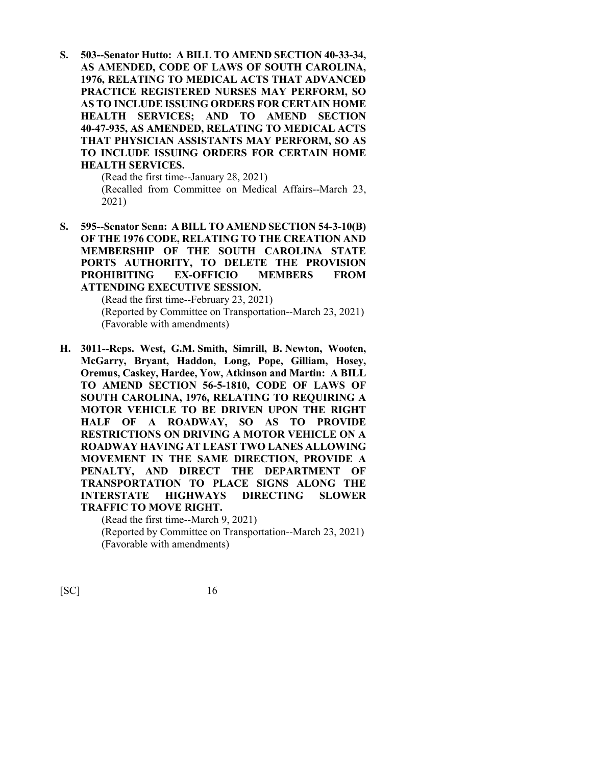**S. 503--Senator Hutto: A BILL TO AMEND SECTION 40-33-34, AS AMENDED, CODE OF LAWS OF SOUTH CAROLINA, 1976, RELATING TO MEDICAL ACTS THAT ADVANCED PRACTICE REGISTERED NURSES MAY PERFORM, SO AS TO INCLUDE ISSUING ORDERS FOR CERTAIN HOME HEALTH SERVICES; AND TO AMEND SECTION 40-47-935, AS AMENDED, RELATING TO MEDICAL ACTS THAT PHYSICIAN ASSISTANTS MAY PERFORM, SO AS TO INCLUDE ISSUING ORDERS FOR CERTAIN HOME HEALTH SERVICES.**

(Read the first time--January 28, 2021) (Recalled from Committee on Medical Affairs--March 23, 2021)

**S. 595--Senator Senn: A BILL TO AMEND SECTION 54-3-10(B) OF THE 1976 CODE, RELATING TO THE CREATION AND MEMBERSHIP OF THE SOUTH CAROLINA STATE PORTS AUTHORITY, TO DELETE THE PROVISION PROHIBITING EX-OFFICIO MEMBERS FROM ATTENDING EXECUTIVE SESSION.**

> (Read the first time--February 23, 2021) (Reported by Committee on Transportation--March 23, 2021) (Favorable with amendments)

**H. 3011--Reps. West, G.M. Smith, Simrill, B. Newton, Wooten, McGarry, Bryant, Haddon, Long, Pope, Gilliam, Hosey, Oremus, Caskey, Hardee, Yow, Atkinson and Martin: A BILL TO AMEND SECTION 56-5-1810, CODE OF LAWS OF SOUTH CAROLINA, 1976, RELATING TO REQUIRING A MOTOR VEHICLE TO BE DRIVEN UPON THE RIGHT HALF OF A ROADWAY, SO AS TO PROVIDE RESTRICTIONS ON DRIVING A MOTOR VEHICLE ON A ROADWAY HAVING AT LEAST TWO LANES ALLOWING MOVEMENT IN THE SAME DIRECTION, PROVIDE A PENALTY, AND DIRECT THE DEPARTMENT OF TRANSPORTATION TO PLACE SIGNS ALONG THE INTERSTATE HIGHWAYS DIRECTING SLOWER TRAFFIC TO MOVE RIGHT.**

> (Read the first time--March 9, 2021) (Reported by Committee on Transportation--March 23, 2021) (Favorable with amendments)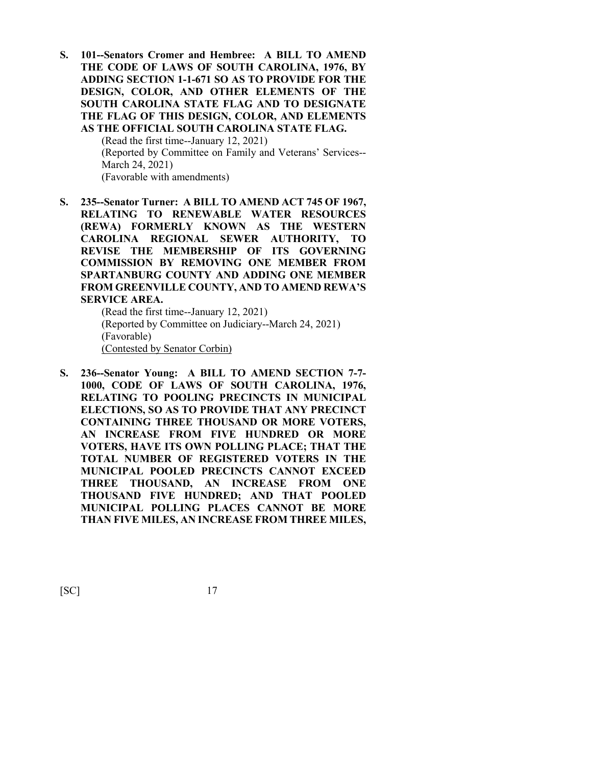**S. 101--Senators Cromer and Hembree: A BILL TO AMEND THE CODE OF LAWS OF SOUTH CAROLINA, 1976, BY ADDING SECTION 1-1-671 SO AS TO PROVIDE FOR THE DESIGN, COLOR, AND OTHER ELEMENTS OF THE SOUTH CAROLINA STATE FLAG AND TO DESIGNATE THE FLAG OF THIS DESIGN, COLOR, AND ELEMENTS AS THE OFFICIAL SOUTH CAROLINA STATE FLAG.**

> (Read the first time--January 12, 2021) (Reported by Committee on Family and Veterans' Services-- March 24, 2021) (Favorable with amendments)

**S. 235--Senator Turner: A BILL TO AMEND ACT 745 OF 1967, RELATING TO RENEWABLE WATER RESOURCES (REWA) FORMERLY KNOWN AS THE WESTERN CAROLINA REGIONAL SEWER AUTHORITY, TO REVISE THE MEMBERSHIP OF ITS GOVERNING COMMISSION BY REMOVING ONE MEMBER FROM SPARTANBURG COUNTY AND ADDING ONE MEMBER FROM GREENVILLE COUNTY, AND TO AMEND REWA'S SERVICE AREA.**

(Read the first time--January 12, 2021) (Reported by Committee on Judiciary--March 24, 2021) (Favorable) (Contested by Senator Corbin)

**S. 236--Senator Young: A BILL TO AMEND SECTION 7-7- 1000, CODE OF LAWS OF SOUTH CAROLINA, 1976, RELATING TO POOLING PRECINCTS IN MUNICIPAL ELECTIONS, SO AS TO PROVIDE THAT ANY PRECINCT CONTAINING THREE THOUSAND OR MORE VOTERS, AN INCREASE FROM FIVE HUNDRED OR MORE VOTERS, HAVE ITS OWN POLLING PLACE; THAT THE TOTAL NUMBER OF REGISTERED VOTERS IN THE MUNICIPAL POOLED PRECINCTS CANNOT EXCEED THREE THOUSAND, AN INCREASE FROM ONE THOUSAND FIVE HUNDRED; AND THAT POOLED MUNICIPAL POLLING PLACES CANNOT BE MORE THAN FIVE MILES, AN INCREASE FROM THREE MILES,**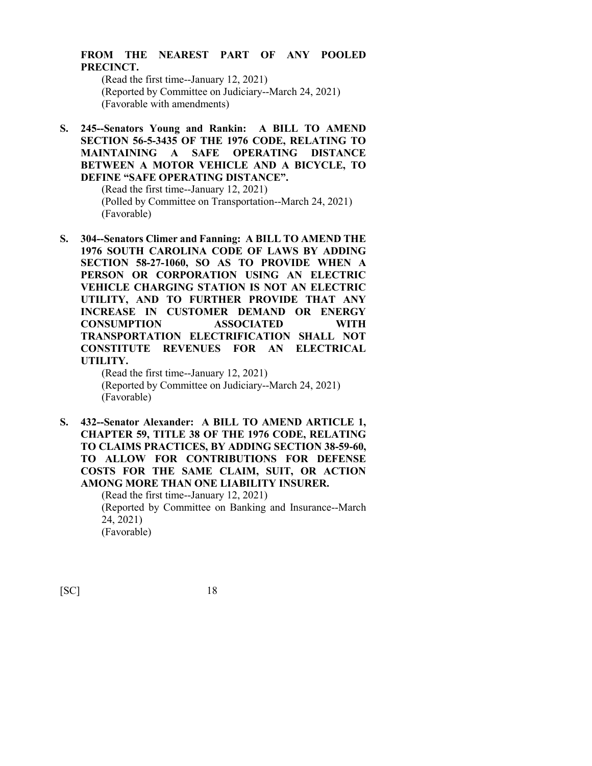## **FROM THE NEAREST PART OF ANY POOLED PRECINCT.**

(Read the first time--January 12, 2021) (Reported by Committee on Judiciary--March 24, 2021) (Favorable with amendments)

**S. 245--Senators Young and Rankin: A BILL TO AMEND SECTION 56-5-3435 OF THE 1976 CODE, RELATING TO MAINTAINING A SAFE OPERATING DISTANCE BETWEEN A MOTOR VEHICLE AND A BICYCLE, TO DEFINE "SAFE OPERATING DISTANCE".**

> (Read the first time--January 12, 2021) (Polled by Committee on Transportation--March 24, 2021) (Favorable)

**S. 304--Senators Climer and Fanning: A BILL TO AMEND THE 1976 SOUTH CAROLINA CODE OF LAWS BY ADDING SECTION 58-27-1060, SO AS TO PROVIDE WHEN A PERSON OR CORPORATION USING AN ELECTRIC VEHICLE CHARGING STATION IS NOT AN ELECTRIC UTILITY, AND TO FURTHER PROVIDE THAT ANY INCREASE IN CUSTOMER DEMAND OR ENERGY CONSUMPTION ASSOCIATED WITH TRANSPORTATION ELECTRIFICATION SHALL NOT CONSTITUTE REVENUES FOR AN ELECTRICAL UTILITY.**

(Read the first time--January 12, 2021) (Reported by Committee on Judiciary--March 24, 2021) (Favorable)

**S. 432--Senator Alexander: A BILL TO AMEND ARTICLE 1, CHAPTER 59, TITLE 38 OF THE 1976 CODE, RELATING TO CLAIMS PRACTICES, BY ADDING SECTION 38-59-60, TO ALLOW FOR CONTRIBUTIONS FOR DEFENSE COSTS FOR THE SAME CLAIM, SUIT, OR ACTION AMONG MORE THAN ONE LIABILITY INSURER.**

(Read the first time--January 12, 2021) (Reported by Committee on Banking and Insurance--March 24, 2021) (Favorable)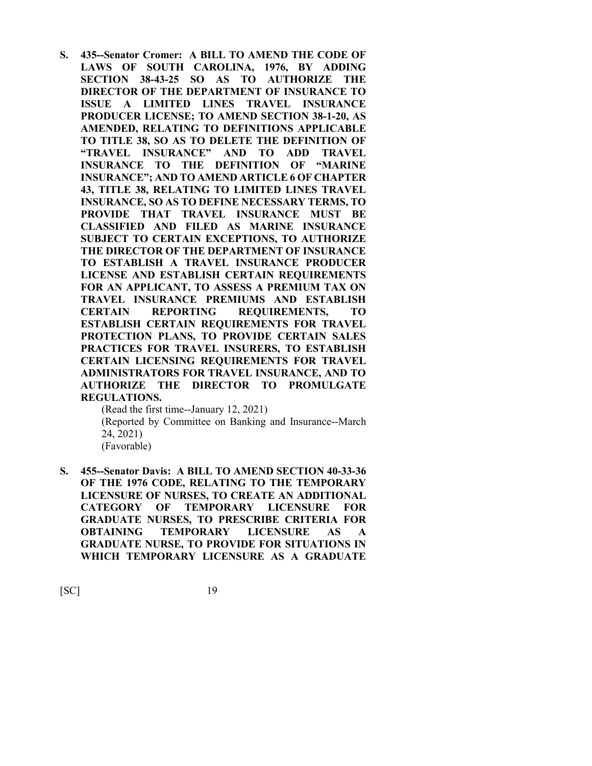**S. 435--Senator Cromer: A BILL TO AMEND THE CODE OF LAWS OF SOUTH CAROLINA, 1976, BY ADDING SECTION 38-43-25 SO AS TO AUTHORIZE THE DIRECTOR OF THE DEPARTMENT OF INSURANCE TO ISSUE A LIMITED LINES TRAVEL INSURANCE PRODUCER LICENSE; TO AMEND SECTION 38-1-20, AS AMENDED, RELATING TO DEFINITIONS APPLICABLE TO TITLE 38, SO AS TO DELETE THE DEFINITION OF "TRAVEL INSURANCE" AND TO ADD TRAVEL INSURANCE TO THE DEFINITION OF "MARINE INSURANCE"; AND TO AMEND ARTICLE 6 OF CHAPTER 43, TITLE 38, RELATING TO LIMITED LINES TRAVEL INSURANCE, SO AS TO DEFINE NECESSARY TERMS, TO PROVIDE THAT TRAVEL INSURANCE MUST BE CLASSIFIED AND FILED AS MARINE INSURANCE SUBJECT TO CERTAIN EXCEPTIONS, TO AUTHORIZE THE DIRECTOR OF THE DEPARTMENT OF INSURANCE TO ESTABLISH A TRAVEL INSURANCE PRODUCER LICENSE AND ESTABLISH CERTAIN REQUIREMENTS FOR AN APPLICANT, TO ASSESS A PREMIUM TAX ON TRAVEL INSURANCE PREMIUMS AND ESTABLISH CERTAIN REPORTING REQUIREMENTS, TO ESTABLISH CERTAIN REQUIREMENTS FOR TRAVEL PROTECTION PLANS, TO PROVIDE CERTAIN SALES PRACTICES FOR TRAVEL INSURERS, TO ESTABLISH CERTAIN LICENSING REQUIREMENTS FOR TRAVEL ADMINISTRATORS FOR TRAVEL INSURANCE, AND TO AUTHORIZE THE DIRECTOR TO PROMULGATE REGULATIONS.**

> (Read the first time--January 12, 2021) (Reported by Committee on Banking and Insurance--March 24, 2021) (Favorable)

**S. 455--Senator Davis: A BILL TO AMEND SECTION 40-33-36 OF THE 1976 CODE, RELATING TO THE TEMPORARY LICENSURE OF NURSES, TO CREATE AN ADDITIONAL CATEGORY OF TEMPORARY LICENSURE FOR GRADUATE NURSES, TO PRESCRIBE CRITERIA FOR OBTAINING TEMPORARY LICENSURE AS A GRADUATE NURSE, TO PROVIDE FOR SITUATIONS IN WHICH TEMPORARY LICENSURE AS A GRADUATE**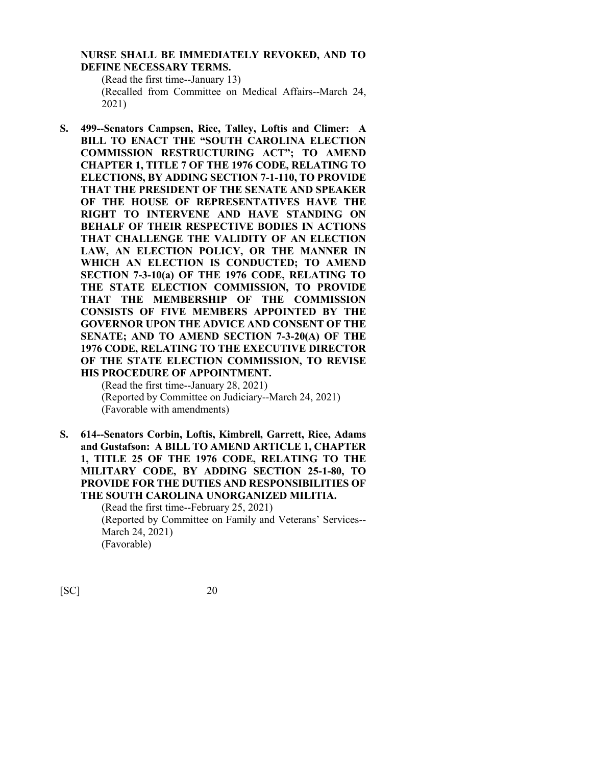#### **NURSE SHALL BE IMMEDIATELY REVOKED, AND TO DEFINE NECESSARY TERMS.**

(Read the first time--January 13)

(Recalled from Committee on Medical Affairs--March 24, 2021)

**S. 499--Senators Campsen, Rice, Talley, Loftis and Climer: A BILL TO ENACT THE "SOUTH CAROLINA ELECTION COMMISSION RESTRUCTURING ACT"; TO AMEND CHAPTER 1, TITLE 7 OF THE 1976 CODE, RELATING TO ELECTIONS, BY ADDING SECTION 7-1-110, TO PROVIDE THAT THE PRESIDENT OF THE SENATE AND SPEAKER OF THE HOUSE OF REPRESENTATIVES HAVE THE RIGHT TO INTERVENE AND HAVE STANDING ON BEHALF OF THEIR RESPECTIVE BODIES IN ACTIONS THAT CHALLENGE THE VALIDITY OF AN ELECTION LAW, AN ELECTION POLICY, OR THE MANNER IN WHICH AN ELECTION IS CONDUCTED; TO AMEND SECTION 7-3-10(a) OF THE 1976 CODE, RELATING TO THE STATE ELECTION COMMISSION, TO PROVIDE THAT THE MEMBERSHIP OF THE COMMISSION CONSISTS OF FIVE MEMBERS APPOINTED BY THE GOVERNOR UPON THE ADVICE AND CONSENT OF THE SENATE; AND TO AMEND SECTION 7-3-20(A) OF THE 1976 CODE, RELATING TO THE EXECUTIVE DIRECTOR OF THE STATE ELECTION COMMISSION, TO REVISE HIS PROCEDURE OF APPOINTMENT.**

(Read the first time--January 28, 2021) (Reported by Committee on Judiciary--March 24, 2021) (Favorable with amendments)

**S. 614--Senators Corbin, Loftis, Kimbrell, Garrett, Rice, Adams and Gustafson: A BILL TO AMEND ARTICLE 1, CHAPTER 1, TITLE 25 OF THE 1976 CODE, RELATING TO THE MILITARY CODE, BY ADDING SECTION 25-1-80, TO PROVIDE FOR THE DUTIES AND RESPONSIBILITIES OF THE SOUTH CAROLINA UNORGANIZED MILITIA.**

> (Read the first time--February 25, 2021) (Reported by Committee on Family and Veterans' Services-- March 24, 2021) (Favorable)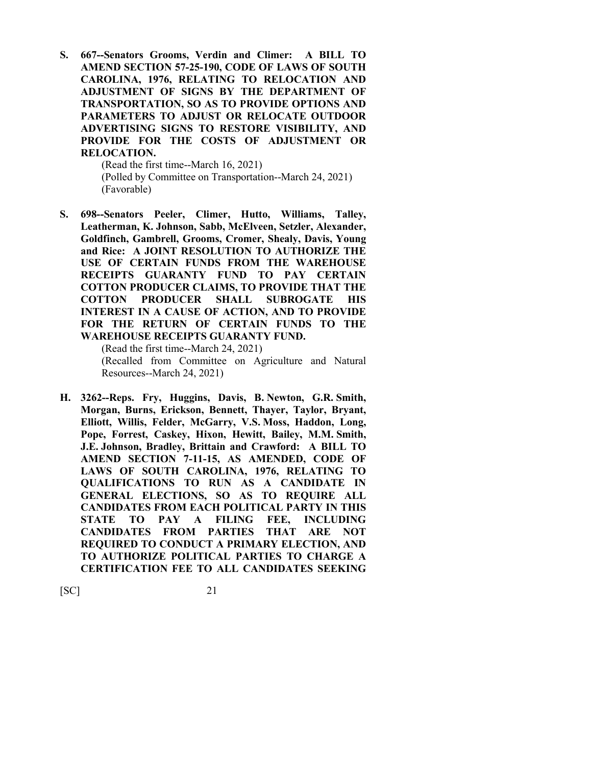**S. 667--Senators Grooms, Verdin and Climer: A BILL TO AMEND SECTION 57-25-190, CODE OF LAWS OF SOUTH CAROLINA, 1976, RELATING TO RELOCATION AND ADJUSTMENT OF SIGNS BY THE DEPARTMENT OF TRANSPORTATION, SO AS TO PROVIDE OPTIONS AND PARAMETERS TO ADJUST OR RELOCATE OUTDOOR ADVERTISING SIGNS TO RESTORE VISIBILITY, AND PROVIDE FOR THE COSTS OF ADJUSTMENT OR RELOCATION.**

> (Read the first time--March 16, 2021) (Polled by Committee on Transportation--March 24, 2021) (Favorable)

**S. 698--Senators Peeler, Climer, Hutto, Williams, Talley, Leatherman, K. Johnson, Sabb, McElveen, Setzler, Alexander, Goldfinch, Gambrell, Grooms, Cromer, Shealy, Davis, Young and Rice: A JOINT RESOLUTION TO AUTHORIZE THE USE OF CERTAIN FUNDS FROM THE WAREHOUSE RECEIPTS GUARANTY FUND TO PAY CERTAIN COTTON PRODUCER CLAIMS, TO PROVIDE THAT THE COTTON PRODUCER SHALL SUBROGATE HIS INTEREST IN A CAUSE OF ACTION, AND TO PROVIDE FOR THE RETURN OF CERTAIN FUNDS TO THE WAREHOUSE RECEIPTS GUARANTY FUND.**

(Read the first time--March 24, 2021) (Recalled from Committee on Agriculture and Natural

Resources--March 24, 2021)

**H. 3262--Reps. Fry, Huggins, Davis, B. Newton, G.R. Smith, Morgan, Burns, Erickson, Bennett, Thayer, Taylor, Bryant, Elliott, Willis, Felder, McGarry, V.S. Moss, Haddon, Long, Pope, Forrest, Caskey, Hixon, Hewitt, Bailey, M.M. Smith, J.E. Johnson, Bradley, Brittain and Crawford: A BILL TO AMEND SECTION 7-11-15, AS AMENDED, CODE OF LAWS OF SOUTH CAROLINA, 1976, RELATING TO QUALIFICATIONS TO RUN AS A CANDIDATE IN GENERAL ELECTIONS, SO AS TO REQUIRE ALL CANDIDATES FROM EACH POLITICAL PARTY IN THIS STATE TO PAY A FILING FEE, INCLUDING CANDIDATES FROM PARTIES THAT ARE NOT REQUIRED TO CONDUCT A PRIMARY ELECTION, AND TO AUTHORIZE POLITICAL PARTIES TO CHARGE A CERTIFICATION FEE TO ALL CANDIDATES SEEKING**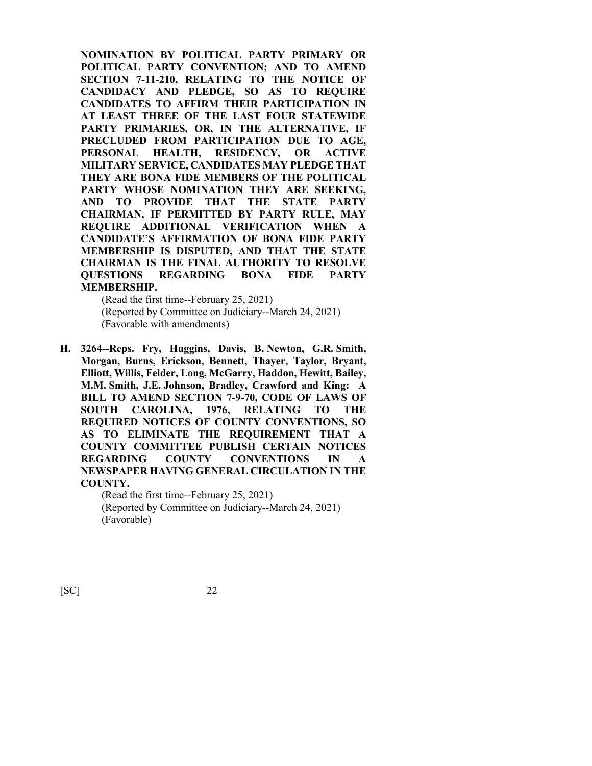**NOMINATION BY POLITICAL PARTY PRIMARY OR POLITICAL PARTY CONVENTION; AND TO AMEND SECTION 7-11-210, RELATING TO THE NOTICE OF CANDIDACY AND PLEDGE, SO AS TO REQUIRE CANDIDATES TO AFFIRM THEIR PARTICIPATION IN AT LEAST THREE OF THE LAST FOUR STATEWIDE PARTY PRIMARIES, OR, IN THE ALTERNATIVE, IF PRECLUDED FROM PARTICIPATION DUE TO AGE, PERSONAL HEALTH, RESIDENCY, OR ACTIVE MILITARY SERVICE, CANDIDATES MAY PLEDGE THAT THEY ARE BONA FIDE MEMBERS OF THE POLITICAL PARTY WHOSE NOMINATION THEY ARE SEEKING, AND TO PROVIDE THAT THE STATE PARTY CHAIRMAN, IF PERMITTED BY PARTY RULE, MAY REQUIRE ADDITIONAL VERIFICATION WHEN A CANDIDATE'S AFFIRMATION OF BONA FIDE PARTY MEMBERSHIP IS DISPUTED, AND THAT THE STATE CHAIRMAN IS THE FINAL AUTHORITY TO RESOLVE QUESTIONS REGARDING BONA FIDE PARTY MEMBERSHIP.**

(Read the first time--February 25, 2021) (Reported by Committee on Judiciary--March 24, 2021) (Favorable with amendments)

**H. 3264--Reps. Fry, Huggins, Davis, B. Newton, G.R. Smith, Morgan, Burns, Erickson, Bennett, Thayer, Taylor, Bryant, Elliott, Willis, Felder, Long, McGarry, Haddon, Hewitt, Bailey, M.M. Smith, J.E. Johnson, Bradley, Crawford and King: A BILL TO AMEND SECTION 7-9-70, CODE OF LAWS OF SOUTH CAROLINA, 1976, RELATING TO THE REQUIRED NOTICES OF COUNTY CONVENTIONS, SO AS TO ELIMINATE THE REQUIREMENT THAT A COUNTY COMMITTEE PUBLISH CERTAIN NOTICES REGARDING COUNTY CONVENTIONS IN A NEWSPAPER HAVING GENERAL CIRCULATION IN THE COUNTY.**

> (Read the first time--February 25, 2021) (Reported by Committee on Judiciary--March 24, 2021) (Favorable)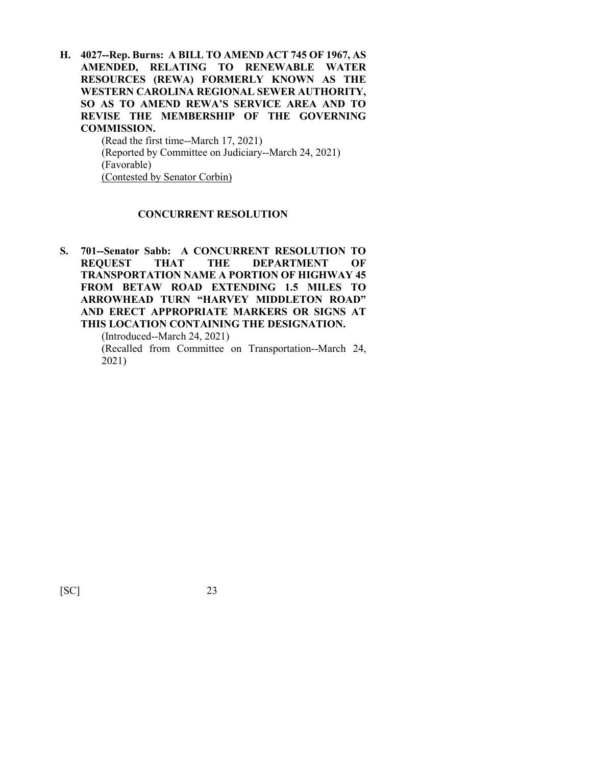**H. 4027--Rep. Burns: A BILL TO AMEND ACT 745 OF 1967, AS AMENDED, RELATING TO RENEWABLE WATER RESOURCES (REWA) FORMERLY KNOWN AS THE WESTERN CAROLINA REGIONAL SEWER AUTHORITY, SO AS TO AMEND REWA'S SERVICE AREA AND TO REVISE THE MEMBERSHIP OF THE GOVERNING COMMISSION.**

(Read the first time--March 17, 2021) (Reported by Committee on Judiciary--March 24, 2021) (Favorable) (Contested by Senator Corbin)

#### **CONCURRENT RESOLUTION**

**S. 701--Senator Sabb: A CONCURRENT RESOLUTION TO REQUEST THAT THE DEPARTMENT OF TRANSPORTATION NAME A PORTION OF HIGHWAY 45 FROM BETAW ROAD EXTENDING 1.5 MILES TO ARROWHEAD TURN "HARVEY MIDDLETON ROAD" AND ERECT APPROPRIATE MARKERS OR SIGNS AT THIS LOCATION CONTAINING THE DESIGNATION.**

(Introduced--March 24, 2021)

(Recalled from Committee on Transportation--March 24, 2021)